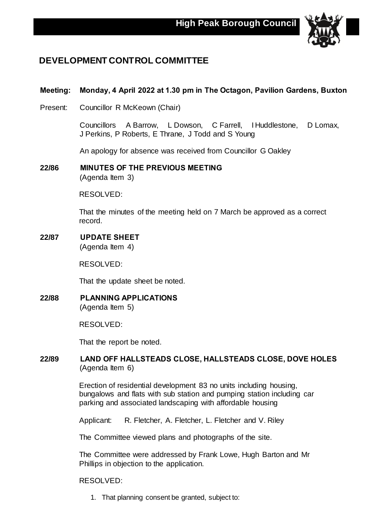

## **DEVELOPMENT CONTROL COMMITTEE**

## **Meeting: Monday, 4 April 2022 at 1.30 pm in The Octagon, Pavilion Gardens, Buxton**

Present: Councillor R McKeown (Chair)

Councillors A Barrow, L Dowson, C Farrell, I Huddlestone, D Lomax, J Perkins, P Roberts, E Thrane, J Todd and S Young

An apology for absence was received from Councillor G Oakley

**22/86 MINUTES OF THE PREVIOUS MEETING** (Agenda Item 3)

RESOLVED:

That the minutes of the meeting held on 7 March be approved as a correct record.

**22/87 UPDATE SHEET**

(Agenda Item 4)

RESOLVED:

That the update sheet be noted.

**22/88 PLANNING APPLICATIONS** (Agenda Item 5)

RESOLVED:

That the report be noted.

## **22/89 LAND OFF HALLSTEADS CLOSE, HALLSTEADS CLOSE, DOVE HOLES** (Agenda Item 6)

Erection of residential development 83 no units including housing, bungalows and flats with sub station and pumping station including car parking and associated landscaping with affordable housing

Applicant: R. Fletcher, A. Fletcher, L. Fletcher and V. Riley

The Committee viewed plans and photographs of the site.

The Committee were addressed by Frank Lowe, Hugh Barton and Mr Phillips in objection to the application.

RESOLVED:

1. That planning consent be granted, subject to: